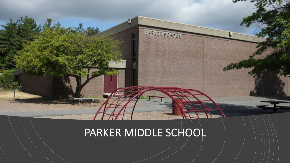## PARKER MIDDLE SCHOOL

PARKER SCHOOL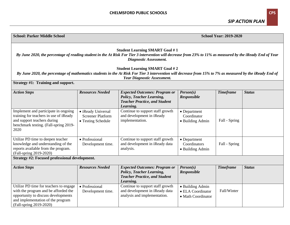**School: Parker Middle School** 

*SIP ACTION PLAN*

**School Year: 2019-2020**

| <b>Student Learning SMART Goal #1</b><br>By June 2020, the percentage of reading student in the At Risk For Tier 3 intervention will decrease from 23% to 11% as measured by the iReady End of Year<br>Diagnostic Assessment.     |                                                                      |                                                                                                                               |                                                             |                  |               |  |  |
|-----------------------------------------------------------------------------------------------------------------------------------------------------------------------------------------------------------------------------------|----------------------------------------------------------------------|-------------------------------------------------------------------------------------------------------------------------------|-------------------------------------------------------------|------------------|---------------|--|--|
| <b>Student Learning SMART Goal #2</b><br>By June 2020, the percentage of mathematics students in the At Risk For Tier 3 intervention will decrease from 15% to 7% as measured by the iReady End of<br>Year Diagnostic Assessment. |                                                                      |                                                                                                                               |                                                             |                  |               |  |  |
| Strategy #1: Training and support.                                                                                                                                                                                                |                                                                      |                                                                                                                               |                                                             |                  |               |  |  |
| <b>Action Steps</b>                                                                                                                                                                                                               | <b>Resources Needed</b>                                              | <b>Expected Outcomes: Program or</b><br><b>Policy, Teacher Learning,</b><br><b>Teacher Practice, and Student</b><br>Learning. | Person(s)<br><b>Responsible</b>                             | <b>Timeframe</b> | <b>Status</b> |  |  |
| Implement and participate in ongoing<br>training for teachers in use of iReady<br>and support teachers during<br>benchmark testing. (Fall-spring 2019-<br>2020                                                                    | • iReady Universal<br><b>Screener Platform</b><br>• Testing Schedule | Continue to support staff growth<br>and development in iReady<br>implementation.                                              | • Department<br>Coordinator<br>• Building Admin             | Fall - Spring    |               |  |  |
| Utilize PD time to deepen teacher<br>knowledge and understanding of the<br>reports available from the program.<br>(Fall-spring 2019-2020)                                                                                         | • Professional<br>Development time.                                  | Continue to support staff growth<br>and development in iReady data<br>analysis.                                               | • Department<br>Coordinators<br>• Building Admin            | Fall - Spring    |               |  |  |
| Strategy #2: Focused professional development.                                                                                                                                                                                    |                                                                      |                                                                                                                               |                                                             |                  |               |  |  |
| <b>Action Steps</b>                                                                                                                                                                                                               | <b>Resources Needed</b>                                              | <b>Expected Outcomes: Program or</b><br><b>Policy, Teacher Learning,</b><br><b>Teacher Practice, and Student</b><br>Learning. | Person(s)<br><b>Responsible</b>                             | <b>Timeframe</b> | <b>Status</b> |  |  |
| Utilize PD time for teachers to engage<br>with the program and be afforded the<br>opportunity to discuss developments<br>and implementation of the program<br>(Fall-spring 2019-2020)                                             | • Professional<br>Development time.                                  | Continue to support staff growth<br>and development in iReady data<br>analysis and implementation.                            | • Building Admin<br>• ELA Coordinator<br>• Math Coordinator | Fall/Winter      |               |  |  |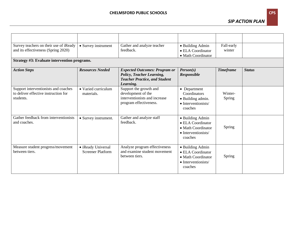## **CHELMSFORD PUBLIC SCHOOLS CPS**

*SIP ACTION PLAN*

| Survey teachers on their use of iReady<br>and its effectiveness (Spring 2020)             | • Survey instrument                            | Gather and analyze teacher<br>feedback.                                                                                | • Building Admin<br>• ELA Coordinator<br>• Math Coordinator                                   | Fall-early<br>winter |               |
|-------------------------------------------------------------------------------------------|------------------------------------------------|------------------------------------------------------------------------------------------------------------------------|-----------------------------------------------------------------------------------------------|----------------------|---------------|
| Strategy #3: Evaluate intervention programs.                                              |                                                |                                                                                                                        |                                                                                               |                      |               |
| <b>Action Steps</b>                                                                       | <b>Resources Needed</b>                        | <b>Expected Outcomes: Program or</b><br>Policy, Teacher Learning,<br><b>Teacher Practice, and Student</b><br>Learning. | Person(s)<br>Responsible                                                                      | <b>Timeframe</b>     | <b>Status</b> |
| Support interventionists and coaches<br>to deliver effective instruction for<br>students. | • Varied curriculum<br>materials.              | Support the growth and<br>development of the<br>interventionists and increase<br>program effectiveness.                | • Department<br>Coordinators<br>• Building admin.<br>• Interventionists/<br>coaches           | Winter-<br>Spring    |               |
| Gather feedback from interventionists<br>and coaches.                                     | • Survey instrument.                           | Gather and analyze staff<br>feedback.                                                                                  | • Building Admin<br>• ELA Coordinator<br>• Math Coordinator<br>• Interventionists/<br>coaches | Spring               |               |
| Measure student progress/movement<br>between tiers.                                       | • iReady Universal<br><b>Screener Platform</b> | Analyze program effectiveness<br>and examine student movement<br>between tiers.                                        | • Building Admin<br>• ELA Coordinator<br>• Math Coordinator<br>• Interventionists/<br>coaches | Spring               |               |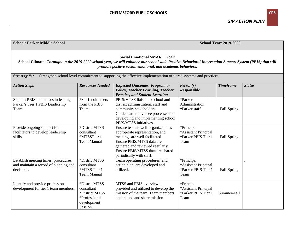| <b>School: Parker Middle School</b>                                                                                                                                                                                                                          |                                                                                          |                                                                                                                                                                                                                                          | <b>School Year: 2019-2020</b>                                     |                  |               |  |
|--------------------------------------------------------------------------------------------------------------------------------------------------------------------------------------------------------------------------------------------------------------|------------------------------------------------------------------------------------------|------------------------------------------------------------------------------------------------------------------------------------------------------------------------------------------------------------------------------------------|-------------------------------------------------------------------|------------------|---------------|--|
| <b>Social Emotional SMART Goal:</b><br>School Climate: Throughout the 2019-2020 school year, we will enhance our school wide Positive Behavioral Intervention Support System (PBIS) that will<br>promote positive social, emotional, and academic behaviors. |                                                                                          |                                                                                                                                                                                                                                          |                                                                   |                  |               |  |
| <b>Strategy #1:</b>                                                                                                                                                                                                                                          |                                                                                          | Strengthen school level commitment to supporting the effective implementation of tiered systems and practices.                                                                                                                           |                                                                   |                  |               |  |
| <b>Action Steps</b>                                                                                                                                                                                                                                          | <b>Resources Needed</b>                                                                  | <b>Expected Outcomes: Program or</b><br><b>Policy, Teacher Learning, Teacher</b><br>Practice, and Student Learning.                                                                                                                      | Person(s)<br>Responsible                                          | <b>Timeframe</b> | <b>Status</b> |  |
| Support PBIS facilitators in leading<br>Parker's Tier 1 PBIS Leadership<br>Team.                                                                                                                                                                             | *Staff Volunteers<br>from the PBIS<br>Team.                                              | PBIS/MTSS liaison to school and<br>district administration, staff and<br>community stakeholders.<br>Guide team to oversee processes for<br>developing and implementing school<br>PBIS/MTSS initiatives.                                  | *Parker<br>Administration<br>*Parker staff                        | Fall-Spring      |               |  |
| Provide ongoing support for<br>facilitators to develop leadership<br>skills.                                                                                                                                                                                 | *Distric MTSS<br>consultant<br>*MTSSTier 1<br><b>Team Manual</b>                         | Ensure team is well-organized, has<br>appropriate representation, and<br>meetings are well facilitated.<br>Ensure PBIS/MTSS data are<br>gathered and reviewed regularly.<br>Ensure PBIS/MTSS data are shared<br>periodically with staff. | *Principal<br>*Assistant Principal<br>*Parker PBIS Tier 1<br>Team | Fall-Spring      |               |  |
| Establish meeting times, procedures,<br>and maintain a record of planning and<br>decisions.                                                                                                                                                                  | *Distric MTSS<br>consultant<br>*MTSS Tier 1<br><b>Team Manual</b>                        | Team operating procedures and<br>action plan are developed and<br>utilized.                                                                                                                                                              | *Principal<br>*Assistant Principal<br>*Parker PBIS Tier 1<br>Team | Fall-Spring      |               |  |
| Identify and provide professional<br>development for tier 1 team members.                                                                                                                                                                                    | *Distric MTSS<br>consultant<br>*District MTSS<br>*Professional<br>development<br>Session | MTSS and PBIS overview is<br>provided and utilized to develop the<br>mission of the team. Team members<br>understand and share mission.                                                                                                  | *Principal<br>*Assistant Principal<br>*Parker PBIS Tier 1<br>Team | Summer-Fall      |               |  |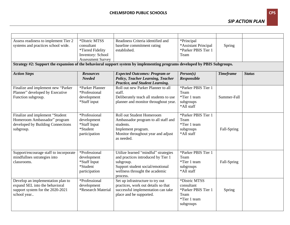| Assess readiness to implement Tier 2<br>systems and practices school wide.                                                | *Distric MTSS<br>consultant<br>*Tiered Fidelity<br><b>Inventory: School</b><br><b>Assessment Survey</b> | Readiness Criteria identified and<br>baseline commitment rating<br>established.                                                                                           | *Principal<br>*Assistant Principal<br>*Parker PBIS Tier 1<br>Team                       | Spring           |               |  |  |
|---------------------------------------------------------------------------------------------------------------------------|---------------------------------------------------------------------------------------------------------|---------------------------------------------------------------------------------------------------------------------------------------------------------------------------|-----------------------------------------------------------------------------------------|------------------|---------------|--|--|
| Strategy #2: Support the expansion of the behavioral support system by implementing programs developed by PBIS Subgroups. |                                                                                                         |                                                                                                                                                                           |                                                                                         |                  |               |  |  |
| <b>Action Steps</b>                                                                                                       | <b>Resources</b><br><b>Needed</b>                                                                       | <b>Expected Outcomes: Program or</b><br><b>Policy, Teacher Learning, Teacher</b><br>Practice, and Student Learning.                                                       | Person(s)<br>Responsible                                                                | <b>Timeframe</b> | <b>Status</b> |  |  |
| Finalize and implement new "Parker<br>Planner" developed by Executive<br>Function subgroup.                               | *Parker Planner<br>*Professional<br>development<br>*Staff input                                         | Roll out new Parker Planner to all<br>staff.<br>Deliberately teach all students to use<br>planner and monitor throughout year.                                            | *Parker PBIS Tier 1<br>Team<br>*Tier 1 team<br>subgroups<br>*All staff                  | Summer-Fall      |               |  |  |
| Finalize and implement "Student<br>Homeroom Ambassador" program<br>developed by Building Connections<br>subgroup.         | *Professional<br>development<br>*Staff Input<br>*Student<br>participation                               | <b>Roll out Student Homeroom</b><br>Ambassador program to all staff and<br>students.<br>Implement program.<br>Monitor throughout year and adjust<br>as needed.            | *Parker PBIS Tier 1<br>Team<br>*Tier 1 team<br>subgroups<br>*All staff                  | Fall-Spring      |               |  |  |
| Support/encourage staff to incorporate<br>mindfullnes sstrategies into<br>classrooms.                                     | *Professional<br>development<br>*Staff Input<br>*Student<br>participation                               | Utilize learned "mindful" strategies<br>and practices introduced by Tier 1<br>subgroup.<br>Support student social/emotional<br>wellness throught the academic<br>process. | *Parker PBIS Tier 1<br>Team<br>*Tier 1 team<br>subgroups<br>*All staff                  | Fall-Spring      |               |  |  |
| Develop an implementation plan to<br>expand SEL into the behavioral<br>support system for the 2020-2021<br>school year    | *Professional<br>development<br>*Research Material                                                      | Set up infrastructure to try out<br>practices, work out details so that<br>successful implementation can take<br>place and be supported.                                  | *Distric MTSS<br>consultant<br>*Parker PBIS Tier 1<br>Team<br>*Tier 1 team<br>subgroups | Spring           |               |  |  |